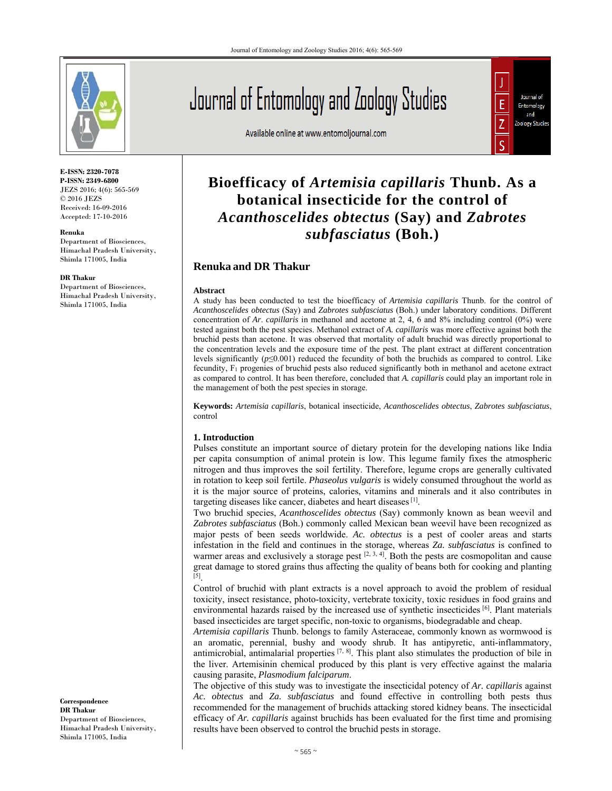

**E-ISSN: 2320-7078 P-ISSN: 2349-6800** JEZS 2016; 4(6): 565-569 © 2016 JEZS Received: 16-09-2016 Accepted: 17-10-2016

**Renuka** 

Department of Biosciences, Himachal Pradesh University, Shimla 171005, India

#### **DR Thakur**

Department of Biosciences, Himachal Pradesh University, Shimla 171005, India

Journal of Entomology and Zoology Studies

Available online at www.entomoljournal.com



# **Bioefficacy of** *Artemisia capillaris* **Thunb. As a botanical insecticide for the control of**  *Acanthoscelides obtectus* **(Say) and** *Zabrotes subfasciatus* **(Boh.)**

## **Renuka and DR Thakur**

#### **Abstract**

A study has been conducted to test the bioefficacy of *Artemisia capillaris* Thunb. for the control of *Acanthoscelides obtectus* (Say) and *Zabrotes subfasciatus* (Boh.) under laboratory conditions. Different concentration of *Ar*. *capillaris* in methanol and acetone at 2, 4, 6 and 8% including control (0%) were tested against both the pest species. Methanol extract of *A. capillaris* was more effective against both the bruchid pests than acetone. It was observed that mortality of adult bruchid was directly proportional to the concentration levels and the exposure time of the pest. The plant extract at different concentration levels significantly (*p*≤0.001) reduced the fecundity of both the bruchids as compared to control. Like fecundity, F1 progenies of bruchid pests also reduced significantly both in methanol and acetone extract as compared to control. It has been therefore, concluded that *A. capillaris* could play an important role in the management of both the pest species in storage.

**Keywords:** *Artemisia capillaris*, botanical insecticide, *Acanthoscelides obtectus*, *Zabrotes subfasciatus*, control

## **1. Introduction**

Pulses constitute an important source of dietary protein for the developing nations like India per capita consumption of animal protein is low. This legume family fixes the atmospheric nitrogen and thus improves the soil fertility. Therefore, legume crops are generally cultivated in rotation to keep soil fertile. *Phaseolus vulgaris* is widely consumed throughout the world as it is the major source of proteins, calories, vitamins and minerals and it also contributes in targeting diseases like cancer, diabetes and heart diseases [1].

Two bruchid species, *Acanthoscelides obtectus* (Say) commonly known as bean weevil and *Zabrotes subfasciatus* (Boh.) commonly called Mexican bean weevil have been recognized as major pests of been seeds worldwide. *Ac. obtectus* is a pest of cooler areas and starts infestation in the field and continues in the storage, whereas *Za. subfasciatus* is confined to warmer areas and exclusively a storage pest  $[2, 3, 4]$ . Both the pests are cosmopolitan and cause great damage to stored grains thus affecting the quality of beans both for cooking and planting  $\overline{[5]}$ 

Control of bruchid with plant extracts is a novel approach to avoid the problem of residual toxicity, insect resistance, photo-toxicity, vertebrate toxicity, toxic residues in food grains and environmental hazards raised by the increased use of synthetic insecticides [6]. Plant materials based insecticides are target specific, non-toxic to organisms, biodegradable and cheap.

*Artemisia capillaris* Thunb. belongs to family Asteraceae, commonly known as wormwood is an aromatic, perennial, bushy and woody shrub. It has antipyretic, anti-inflammatory, antimicrobial, antimalarial properties  $[7, 8]$ . This plant also stimulates the production of bile in the liver. Artemisinin chemical produced by this plant is very effective against the malaria causing parasite, *Plasmodium falciparum*.

The objective of this study was to investigate the insecticidal potency of *Ar. capillaris* against *Ac. obtectus* and *Za. subfasciatus* and found effective in controlling both pests thus recommended for the management of bruchids attacking stored kidney beans. The insecticidal efficacy of *Ar. capillaris* against bruchids has been evaluated for the first time and promising results have been observed to control the bruchid pests in storage.

**Correspondence DR Thakur** Department of Biosciences, Himachal Pradesh University, Shimla 171005, India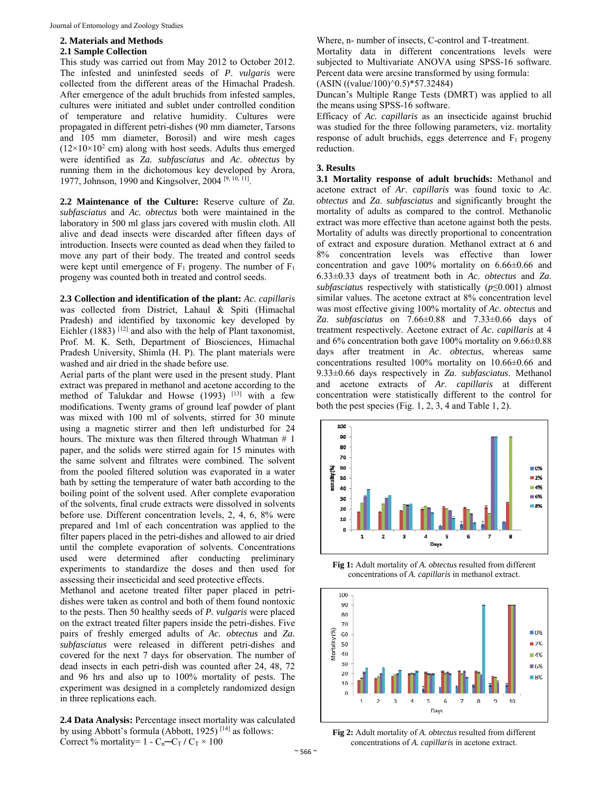## **2. Materials and Methods**

#### **2.1 Sample Collection**

This study was carried out from May 2012 to October 2012. The infested and uninfested seeds of *P*. *vulgaris* were collected from the different areas of the Himachal Pradesh. After emergence of the adult bruchids from infested samples, cultures were initiated and sublet under controlled condition of temperature and relative humidity. Cultures were propagated in different petri-dishes (90 mm diameter, Tarsons and 105 mm diameter, Borosil) and wire mesh cages  $(12\times10\times10^{2}$  cm) along with host seeds. Adults thus emerged were identified as *Za. subfasciatus* and *Ac. obtectus* by running them in the dichotomous key developed by Arora, 1977, Johnson, 1990 and Kingsolver, 2004 [9, 10, 11].

**2.2 Maintenance of the Culture:** Reserve culture of *Za. subfasciatus* and *Ac. obtectus* both were maintained in the laboratory in 500 ml glass jars covered with muslin cloth. All alive and dead insects were discarded after fifteen days of introduction. Insects were counted as dead when they failed to move any part of their body. The treated and control seeds were kept until emergence of  $F_1$  progeny. The number of  $F_1$ progeny was counted both in treated and control seeds.

**2.3 Collection and identification of the plant:** *Ac. capillaris*  was collected from District, Lahaul & Spiti (Himachal Pradesh) and identified by taxonomic key developed by Eichler (1883)<sup>[12]</sup> and also with the help of Plant taxonomist, Prof. M. K. Seth, Department of Biosciences, Himachal Pradesh University, Shimla (H. P). The plant materials were washed and air dried in the shade before use.

Aerial parts of the plant were used in the present study. Plant extract was prepared in methanol and acetone according to the method of Talukdar and Howse  $(1993)$ <sup>[13]</sup> with a few modifications. Twenty grams of ground leaf powder of plant was mixed with 100 ml of solvents, stirred for 30 minute using a magnetic stirrer and then left undisturbed for 24 hours. The mixture was then filtered through Whatman # 1 paper, and the solids were stirred again for 15 minutes with the same solvent and filtrates were combined. The solvent from the pooled filtered solution was evaporated in a water bath by setting the temperature of water bath according to the boiling point of the solvent used. After complete evaporation of the solvents, final crude extracts were dissolved in solvents before use. Different concentration levels, 2, 4, 6, 8% were prepared and 1ml of each concentration was applied to the filter papers placed in the petri-dishes and allowed to air dried until the complete evaporation of solvents. Concentrations used were determined after conducting preliminary experiments to standardize the doses and then used for assessing their insecticidal and seed protective effects.

Methanol and acetone treated filter paper placed in petridishes were taken as control and both of them found nontoxic to the pests. Then 50 healthy seeds of *P. vulgaris* were placed on the extract treated filter papers inside the petri-dishes. Five pairs of freshly emerged adults of *Ac. obtectus* and *Za. subfasciatus* were released in different petri-dishes and covered for the next 7 days for observation. The number of dead insects in each petri-dish was counted after 24, 48, 72 and 96 hrs and also up to 100% mortality of pests. The experiment was designed in a completely randomized design in three replications each.

**2.4 Data Analysis:** Percentage insect mortality was calculated by using Abbott's formula (Abbott, 1925)<sup>[14]</sup> as follows: Correct % mortality=  $1 - C_n - C_T / C_T \times 100$ 

Where, n- number of insects, C-control and T-treatment.

Mortality data in different concentrations levels were subjected to Multivariate ANOVA using SPSS-16 software. Percent data were arcsine transformed by using formula:

 $(ASIN ((value/100)^0.5)*57.32484)$ 

Duncan's Multiple Range Tests (DMRT) was applied to all the means using SPSS-16 software.

Efficacy of *Ac. capillaris* as an insecticide against bruchid was studied for the three following parameters, viz. mortality response of adult bruchids, eggs deterrence and  $F_1$  progeny reduction.

#### **3. Results**

**3.1 Mortality response of adult bruchids:** Methanol and acetone extract of *Ar*. *capillaris* was found toxic to *Ac*. *obtectus* and *Za*. *subfasciatus* and significantly brought the mortality of adults as compared to the control. Methanolic extract was more effective than acetone against both the pests. Mortality of adults was directly proportional to concentration of extract and exposure duration. Methanol extract at 6 and 8% concentration levels was effective than lower concentration and gave 100% mortality on 6.66±0.66 and 6.33±0.33 days of treatment both in *Ac*. *obtectus* and *Za*. *subfasciatus* respectively with statistically (*p*≤0.001) almost similar values. The acetone extract at 8% concentration level was most effective giving 100% mortality of *Ac*. *obtectus* and *Za*. *subfasciatus* on 7.66±0.88 and 7.33±0.66 days of treatment respectively. Acetone extract of *Ac*. *capillaris* at 4 and 6% concentration both gave 100% mortality on 9.66±0.88 days after treatment in *Ac*. *obtectus*, whereas same concentrations resulted 100% mortality on 10.66±0.66 and 9.33±0.66 days respectively in *Za*. *subfasciatus*. Methanol and acetone extracts of *Ar*. *capillaris* at different concentration were statistically different to the control for both the pest species (Fig. 1, 2, 3, 4 and Table 1, 2).



**Fig 1:** Adult mortality of *A. obtectus* resulted from different concentrations of *A. capillaris* in methanol extract.



**Fig 2:** Adult mortality of *A. obtectus* resulted from different concentrations of *A. capillaris* in acetone extract.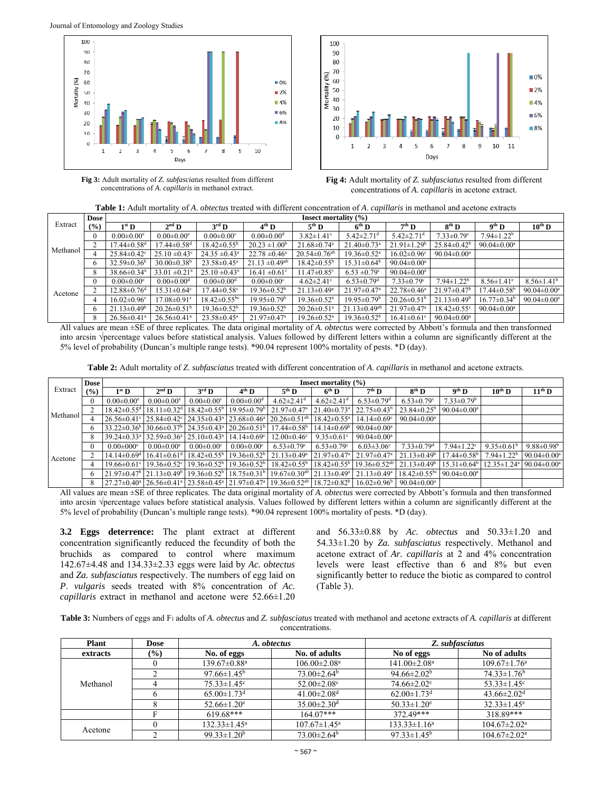

**Fig 3:** Adult mortality of *Z. subfasciatus* resulted from different concentrations of *A. capillaris* in methanol extract.



**Fig 4:** Adult mortality of *Z. subfasciatus* resulted from different concentrations of *A. capillaris* in acetone extract.

|  |  |  | <b>Table 1:</b> Adult mortality of A, <i>obtectus</i> treated with different concentration of A, <i>capillaris</i> in methanol and acetone extracts |
|--|--|--|-----------------------------------------------------------------------------------------------------------------------------------------------------|
|--|--|--|-----------------------------------------------------------------------------------------------------------------------------------------------------|

|          | <b>Dose</b> |                               | Insect mortality $(\% )$      |                                |                               |                                |                                |                               |                               |                              |                               |  |
|----------|-------------|-------------------------------|-------------------------------|--------------------------------|-------------------------------|--------------------------------|--------------------------------|-------------------------------|-------------------------------|------------------------------|-------------------------------|--|
| Extract  | (%)         | $1^{\rm st}$ D                | $2nd$ D                       | $3^{\rm rd}$ D                 | $4^{\text{th}}$ D             | $5^{\text{th}}$ D              | $6^{th}$ D                     | $7th$ D                       | $8^{th}$ D                    | $9th$ D                      | $10^{\text{th}}$ D            |  |
|          |             | $0.00 \pm 0.00$ <sup>e</sup>  | $0.00 \pm 0.00^e$             | $0.00 \pm 0.00$ <sup>c</sup>   | $0.00 \pm 0.00$ <sup>d</sup>  | $3.82 \pm 1.41$ °              | $5.42 \pm 2.71$ <sup>d</sup>   | $5.42 \pm 2.71$ <sup>d</sup>  | $7.33 \pm 0.79$ <sup>c</sup>  | $7.94 \pm 1.22^b$            |                               |  |
|          |             | $17.44 \pm 0.58$ <sup>d</sup> | $17.44 \pm 0.58$ <sup>d</sup> | $18.42 \pm 0.55^{\circ}$       | $20.23 \pm 1.00^b$            | $21.68 \pm 0.74$ <sup>a</sup>  | $21.40 \pm 0.73$ <sup>a</sup>  | $21.91 \pm 1.29$ <sup>b</sup> | $25.84 \pm 0.42^b$            | $90.04 \pm 0.00^a$           |                               |  |
| Methanol |             | $25.84 \pm 0.42$ <sup>c</sup> | $25.10 \pm 0.43$ °            | $24.35 \pm 0.43$ <sup>a</sup>  | $22.78 \pm 0.46^a$            | $20.54 \pm 0.76$ <sup>ab</sup> | $19.36 \pm 0.52$ <sup>a</sup>  | $16.02 \pm 0.96$ <sup>c</sup> | $90.04 \pm 0.00^a$            |                              |                               |  |
|          |             | $32.59 \pm 0.36^b$            | $30.00 \pm 0.38^{\rm b}$      | $23.58 \pm 0.45^a$             | $21.13 \pm 0.49^{ab}$         | $18.42 \pm 0.55^{\circ}$       | $15.31 \pm 0.64^b$             | $90.04 \pm 0.00^a$            |                               |                              |                               |  |
|          |             | $38.66 \pm 0.34$ <sup>a</sup> | $33.01 \pm 0.21$ <sup>a</sup> | $25.10 \pm 0.43$ <sup>a</sup>  | $16.41 \pm 0.61$ °            | $11.47 \pm 0.85$ °             | $6.53 \pm 0.79$ °              | $90.04 \pm 0.00^a$            |                               |                              |                               |  |
|          |             | $0.00 \pm 0.00^{\circ}$       | $0.00 \pm 0.00$ <sup>d</sup>  | $0.00 \pm 0.00$ <sup>d</sup>   | $0.00 \pm 0.00$ <sup>c</sup>  | $4.62 \pm 2.41$ °              | $6.53 \pm 0.79$ <sup>d</sup>   | $7.33 \pm 0.79$ <sup>c</sup>  | $7.94 \pm 1.22^b$             | $8.56 \pm 1.41$ <sup>e</sup> | $8.56 \pm 1.41^b$             |  |
| Acetone  |             | $12.88 \pm 0.76$ <sup>d</sup> | $15.31 \pm 0.64$ °            | $17.44 \pm 0.58$ <sup>c</sup>  | $19.36 \pm 0.52^{\circ}$      | $21.13 \pm 0.49^a$             | $21.97 \pm 0.47$ <sup>a</sup>  | $22.78 \pm 0.46^a$            | $21.97 \pm 0.47^{\circ}$      | $17.44 \pm 0.58^{\circ}$     | $90.04 \pm 0.00^a$            |  |
|          |             | $16.02 \pm 0.96$ <sup>c</sup> | $17.08 \pm 0.91$ <sup>c</sup> | $18.42 \pm 0.55$ <sup>bc</sup> | $19.95 \pm 0.79^{\rm b}$      | $19.36 \pm 0.52$ <sup>a</sup>  | $19.95 \pm 0.79^{\circ}$       | $20.26 \pm 0.51^{\circ}$      | $21.13 \pm 0.49$ <sup>b</sup> | $16.77 \pm 0.34^b$           | 90.04 $\pm$ 0.00 <sup>a</sup> |  |
|          |             | $21.13 \pm 0.49^b$            | $20.26 \pm 0.51^{\rm b}$      | $19.36 \pm 0.52^{\circ}$       | $19.36 \pm 0.52^b$            | $20.26 \pm 0.51$ <sup>a</sup>  | $21.13 \pm 0.49$ <sup>ab</sup> | $21.97 \pm 0.47$ <sup>a</sup> | $18.42 \pm 0.55$ <sup>c</sup> | $90.04 \pm 0.00^a$           |                               |  |
|          |             | $26.56 \pm 0.41$ <sup>a</sup> | $26.56 \pm 0.41$ <sup>a</sup> | $23.58 \pm 0.45^a$             | $21.97 \pm 0.47$ <sup>a</sup> | $19.26 \pm 0.52$ <sup>a</sup>  | $19.36 \pm 0.52^{\circ}$       | $16.41 \pm 0.61$ °            | $90.04 \pm 0.00^a$            |                              |                               |  |

All values are mean ±SE of three replicates. The data original mortality of *A. obtectus* were corrected by Abbott's formula and then transformed into arcsin √percentage values before statistical analysis. Values followed by different letters within a column are significantly different at the 5% level of probability (Duncan's multiple range tests). \*90.04 represent 100% mortality of pests. \*D (day).

**Table 2:** Adult mortality of *Z*. *subfasciatus* treated with different concentration of *A*. *capillaris* in methanol and acetone extracts.

|          | <b>Dose</b> | Insect mortality $(\% )$      |                               |                              |                              |                                                                                                                                                                  |                               |                                                     |                                                            |                               |                                                     |                               |
|----------|-------------|-------------------------------|-------------------------------|------------------------------|------------------------------|------------------------------------------------------------------------------------------------------------------------------------------------------------------|-------------------------------|-----------------------------------------------------|------------------------------------------------------------|-------------------------------|-----------------------------------------------------|-------------------------------|
| Extract  | (%)         | $1st$ D                       | $2nd$ D                       | $3^{\rm rd}$ D               | $4th$ D                      | $5^{\text{th}}$ D                                                                                                                                                | $6th$ D                       | $7th$ D                                             | $8^{th}$ D                                                 | $9th$ D                       | $10^{\text{th}}$ D                                  | $11^{\text{th}}$ D            |
| Methanol |             | $0.00 \pm 0.00$ <sup>e</sup>  | $0.00 \pm 0.00$ <sup>e</sup>  | $0.00 \pm 0.00$ <sup>c</sup> | $0.00 \pm 0.00$ <sup>d</sup> | $4.62 \pm 2.41$ <sup>d</sup>                                                                                                                                     | $4.62 \pm 2.41$ <sup>d</sup>  | $6.53 \pm 0.79$ <sup>d</sup>                        | $6.53 \pm 0.79$ <sup>c</sup>                               | $7.33 \pm 0.79$ <sup>b</sup>  |                                                     |                               |
|          |             | $18.42 \pm 0.55$ <sup>d</sup> | $18.11 \pm 0.32$ <sup>d</sup> |                              |                              | $18.42\pm0.55^{\circ}$   $19.95\pm0.79^{\circ}$   $21.97\pm0.47^{\circ}$                                                                                         | $21.40 \pm 0.73$ <sup>a</sup> | $22.75 \pm 0.43^b$                                  | $23.84 \pm 0.25^{\rm b}$                                   | $90.04 \pm 0.00^{\mathrm{a}}$ |                                                     |                               |
|          |             |                               |                               |                              |                              | $26.56\pm0.41^{\circ}$ $25.84\pm0.42^{\circ}$ $24.35\pm0.43^{\circ}$ $23.68\pm0.46^{\circ}$ $20.26\pm0.51^{\circ}$                                               | $18.42 \pm 0.55^{\mathrm{a}}$ | $14.14 \pm 0.69$ <sup>c</sup>                       | $90.04 \pm 0.00^a$                                         |                               |                                                     |                               |
|          | 6           |                               |                               |                              |                              | $33.22\pm0.36^{\circ}$ 30.66 $\pm$ 0.37 $^{\circ}$ 24.35 $\pm$ 0.43 $^{\circ}$ 20.26 $\pm$ 0.51 $^{\circ}$ 17.44 $\pm$ 0.58 $^{\circ}$                           | $14.14 \pm 0.69$ <sup>b</sup> | $90.04 \pm 0.00^a$                                  |                                                            |                               |                                                     |                               |
|          | 8           |                               |                               |                              |                              | $39.24 \pm 0.33$ <sup>a</sup>   32.59 $\pm$ 0.36 <sup>a</sup>   25.10 $\pm$ 0.43 <sup>a</sup>   14.14 $\pm$ 0.69 <sup>c</sup>   12.00 $\pm$ 0.46 <sup>c</sup>    | 9.35 $\pm$ 0.61 $\degree$     | $90.04 \pm 0.00^a$                                  |                                                            |                               |                                                     |                               |
| Acetone  | $\theta$    | $0.00 \pm 0.00$ <sup>e</sup>  | $0.00 \pm 0.00^e$             | $0.00 \pm 0.00$ <sup>c</sup> | $0.00 \pm 0.00$ <sup>c</sup> | $6.53 \pm 0.79$ °                                                                                                                                                | $6.53 \pm 0.79$ °             | $6.03 \pm 3.06$ °                                   | $7.33 \pm 0.79$ <sup>d</sup>                               | $7.94 \pm 1.22$ <sup>c</sup>  | 9.35 $\pm$ 0.61 <sup>b</sup>                        | $9.88 \pm 0.98^{\rm b}$       |
|          |             |                               |                               |                              |                              | $14.14\pm0.69$ <sup>d</sup>   16.41 $\pm0.61$ <sup>d</sup>   18.42 $\pm0.55$ <sup>6</sup>   19.36 $\pm0.52$ <sup>6</sup>   21.13 $\pm0.49$ <sup>a</sup>          | $21.97 \pm 0.47$ <sup>a</sup> | $21.97 \pm 0.47$ <sup>a</sup>                       | $21.13 \pm 0.49^b$                                         | $17.44 \pm 0.58$ <sup>b</sup> | $7.94 \pm 1.22$ <sup>b</sup>                        | $90.04 \pm 0.00^{\mathrm{a}}$ |
|          | 4           |                               |                               |                              |                              | $19.66\pm0.61$ ° $19.36\pm0.52$ ° $19.36\pm0.52$ <sup>b</sup> $19.36\pm0.52$ <sup>b</sup> $18.42\pm0.55$ <sup>b</sup>                                            |                               | $18.42 \pm 0.55^{\circ}$   $19.36 \pm 0.52^{\circ}$ | $21.13 \pm 0.49^b$                                         |                               | $15.31 \pm 0.64^{\circ}$   $12.35 \pm 1.24^{\circ}$ | $90.04 \pm 0.00^{\circ}$      |
|          | 6           |                               |                               |                              |                              | $21.97\pm0.47^{\circ}$ $21.13\pm0.49^{\circ}$ $19.36\pm0.52^{\circ}$ $18.75\pm0.31^{\circ}$ $19.67\pm0.30^{\circ}$ $21.13\pm0.49^{\circ}$ $21.13\pm0.49^{\circ}$ |                               |                                                     | $18.42 \pm 0.55^{\text{bc}}$ 90.04 $\pm$ 0.00 <sup>a</sup> |                               |                                                     |                               |
|          | 8           |                               |                               |                              |                              | $27.27\pm0.40^{a}$   $26.56\pm0.41^{a}$   $23.58\pm0.45^{a}$   $21.97\pm0.47^{a}$   $19.36\pm0.52^{ab}$   $18.72\pm0.82^{b}$   $16.02\pm0.96^{b}$                |                               |                                                     | 90.04 $\pm$ 0.00 <sup>a</sup>                              |                               |                                                     |                               |

All values are mean ±SE of three replicates. The data original mortality of *A. obtectus* were corrected by Abbott's formula and then transformed into arcsin √percentage values before statistical analysis. Values followed by different letters within a column are significantly different at the 5% level of probability (Duncan's multiple range tests). \*90.04 represent 100% mortality of pests. \*D (day).

**3.2 Eggs deterrence:** The plant extract at different concentration significantly reduced the fecundity of both the bruchids as compared to control where maximum 142.67±4.48 and 134.33±2.33 eggs were laid by *Ac. obtectus* and *Za. subfasciatus* respectively. The numbers of egg laid on *P*. *vulgaris* seeds treated with 8% concentration of *Ac. capillaris* extract in methanol and acetone were 52.66±1.20 and 56.33±0.88 by *Ac. obtectus* and 50.33±1.20 and 54.33±1.20 by *Za. subfasciatus* respectively. Methanol and acetone extract of *Ar. capillaris* at 2 and 4% concentration levels were least effective than 6 and 8% but even significantly better to reduce the biotic as compared to control (Table 3).

**Table 3:** Numbers of eggs and F1 adults of *A. obtectus* and *Z. subfasciatus* treated with methanol and acetone extracts of *A. capillaris* at different concentrations.

| <b>Plant</b> | Dose   |                                | A. obtectus                    | Z. subfasciatus                |                                |  |  |
|--------------|--------|--------------------------------|--------------------------------|--------------------------------|--------------------------------|--|--|
| extracts     | $(\%)$ | No. of eggs                    | No. of adults                  | No of eggs                     | No of adults                   |  |  |
|              |        | $139.67 \pm 0.88$ <sup>a</sup> | $106.00 \pm 2.08$ <sup>a</sup> | $141.00 \pm 2.08$ <sup>a</sup> | $109.67 \pm 1.76^{\mathrm{a}}$ |  |  |
|              |        | $97.66 \pm 1.45^{\rm b}$       | $73.00 \pm 2.64^{\circ}$       | $94.66 \pm 2.02^b$             | $74.33 \pm 1.76^b$             |  |  |
| Methanol     |        | $75.33 \pm 1.45$ <sup>c</sup>  | 52.00 $\pm$ 2.08 $\rm{c}$      | $74.66 \pm 2.02$ <sup>c</sup>  | 53.33 $\pm$ 1.45 $\textdegree$ |  |  |
|              |        | $65.00 \pm 1.73$ <sup>d</sup>  | $41.00 \pm 2.08$ <sup>d</sup>  | $62.00 \pm 1.73$ <sup>d</sup>  | $43.66 \pm 2.02$ <sup>d</sup>  |  |  |
|              |        | $52.66 \pm 1.20^e$             | $35.00 \pm 2.30$ <sup>d</sup>  | $50.33 \pm 1.20$ <sup>e</sup>  | $32.33 \pm 1.45$ <sup>e</sup>  |  |  |
|              |        | $619.68***$                    | $164.07***$                    | 372.49***                      | 318.89***                      |  |  |
| Acetone      |        | $132.33 \pm 1.45^a$            | $107.67 \pm 1.45^{\text{a}}$   | $133.33 \pm 1.16^a$            | $104.67 \pm 2.02^{\text{a}}$   |  |  |
|              |        | 99.33 $\pm$ 1.20 <sup>b</sup>  | $73.00 \pm 2.64^{\circ}$       | $97.33 \pm 1.45^b$             | $104.67 \pm 2.02^{\text{a}}$   |  |  |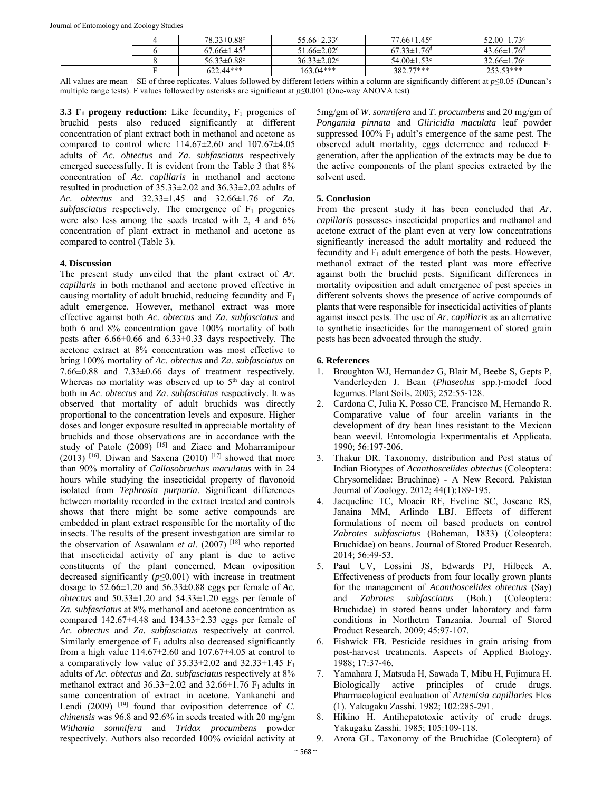|  | $78.33 \pm 0.88$ c            | $55.66 \pm 2.33$ <sup>c</sup> | $77.66 \pm 1.45$ <sup>c</sup> | $52.00 \pm 1.73$ °            |
|--|-------------------------------|-------------------------------|-------------------------------|-------------------------------|
|  | $67.66 \pm 1.45$ <sup>d</sup> | $51.66 \pm 2.02$ <sup>c</sup> | $67.33 \pm 1.76$ <sup>d</sup> | $43.66 \pm 1.76$ <sup>d</sup> |
|  | 56.33 $\pm$ 0.88 $^{\circ}$   | $36.33 \pm 2.02$ <sup>d</sup> | $54.00 \pm 1.53$ <sup>e</sup> | $32.66 \pm 1.76$ <sup>e</sup> |
|  | $622.44***$                   | $163.04***$                   | 382.77***                     | $253.53***$                   |

All values are mean ± SE of three replicates. Values followed by different letters within a column are significantly different at *p*≤0.05 (Duncan's multiple range tests). F values followed by asterisks are significant at *p*≤0.001 (One-way ANOVA test)

**3.3 F<sub>1</sub> progeny reduction:** Like fecundity, F<sub>1</sub> progenies of bruchid pests also reduced significantly at different concentration of plant extract both in methanol and acetone as compared to control where  $114.67\pm2.60$  and  $107.67\pm4.05$ adults of *Ac. obtectus* and *Za. subfasciatus* respectively emerged successfully. It is evident from the Table 3 that 8% concentration of *Ac. capillaris* in methanol and acetone resulted in production of 35.33±2.02 and 36.33±2.02 adults of *Ac. obtectus* and 32.33±1.45 and 32.66±1.76 of *Za.*   $subfasciatus$  respectively. The emergence of  $F_1$  progenies were also less among the seeds treated with 2, 4 and 6% concentration of plant extract in methanol and acetone as compared to control (Table 3).

### **4. Discussion**

The present study unveiled that the plant extract of *Ar*. *capillaris* in both methanol and acetone proved effective in causing mortality of adult bruchid, reducing fecundity and F1 adult emergence. However, methanol extract was more effective against both *Ac*. *obtectus* and *Za*. *subfasciatus* and both 6 and 8% concentration gave 100% mortality of both pests after 6.66±0.66 and 6.33±0.33 days respectively. The acetone extract at 8% concentration was most effective to bring 100% mortality of *Ac*. *obtectus* and *Za*. *subfasciatus* on 7.66±0.88 and 7.33±0.66 days of treatment respectively. Whereas no mortality was observed up to  $5<sup>th</sup>$  day at control both in *Ac*. *obtectus* and *Za*. *subfasciatus* respectively. It was observed that mortality of adult bruchids was directly proportional to the concentration levels and exposure. Higher doses and longer exposure resulted in appreciable mortality of bruchids and those observations are in accordance with the study of Patole (2009) [15] and Ziaee and Moharramipour (2013) <sup>[16]</sup>. Diwan and Saxena (2010) <sup>[17]</sup> showed that more than 90% mortality of *Callosobruchus maculatus* with in 24 hours while studying the insecticidal property of flavonoid isolated from *Tephrosia purpuria*. Significant differences between mortality recorded in the extract treated and controls shows that there might be some active compounds are embedded in plant extract responsible for the mortality of the insects. The results of the present investigation are similar to the observation of Asawalam *et al*. (2007) [18] who reported that insecticidal activity of any plant is due to active constituents of the plant concerned. Mean oviposition decreased significantly  $(p \le 0.001)$  with increase in treatment dosage to 52.66±1.20 and 56.33±0.88 eggs per female of *Ac. obtectus* and 50.33±1.20 and 54.33±1.20 eggs per female of *Za. subfasciatus* at 8% methanol and acetone concentration as compared 142.67±4.48 and 134.33±2.33 eggs per female of *Ac. obtectus* and *Za. subfasciatus* respectively at control. Similarly emergence of  $F_1$  adults also decreased significantly from a high value  $114.67 \pm 2.60$  and  $107.67 \pm 4.05$  at control to a comparatively low value of  $35.33\pm2.02$  and  $32.33\pm1.45$  F<sub>1</sub> adults of *Ac. obtectus* and *Za. subfasciatus* respectively at 8% methanol extract and  $36.33\pm2.02$  and  $32.66\pm1.76$  F<sub>1</sub> adults in same concentration of extract in acetone. Yankanchi and Lendi (2009) [19] found that oviposition deterrence of *C*. *chinensis* was 96.8 and 92.6% in seeds treated with 20 mg/gm *Withania somnifera* and *Tridax procumbens* powder respectively. Authors also recorded 100% ovicidal activity at

5mg/gm of *W*. *somnifera* and *T*. *procumbens* and 20 mg/gm of *Pongamia pinnata* and *Gliricidia maculata* leaf powder suppressed 100%  $F_1$  adult's emergence of the same pest. The observed adult mortality, eggs deterrence and reduced  $F_1$ generation, after the application of the extracts may be due to the active components of the plant species extracted by the solvent used.

## **5. Conclusion**

From the present study it has been concluded that *Ar*. *capillaris* possesses insecticidal properties and methanol and acetone extract of the plant even at very low concentrations significantly increased the adult mortality and reduced the fecundity and  $F_1$  adult emergence of both the pests. However, methanol extract of the tested plant was more effective against both the bruchid pests. Significant differences in mortality oviposition and adult emergence of pest species in different solvents shows the presence of active compounds of plants that were responsible for insecticidal activities of plants against insect pests. The use of *Ar*. *capillaris* as an alternative to synthetic insecticides for the management of stored grain pests has been advocated through the study.

## **6. References**

- 1. Broughton WJ, Hernandez G, Blair M, Beebe S, Gepts P, Vanderleyden J. Bean (*Phaseolus* spp.)-model food legumes. Plant Soils. 2003; 252:55-128.
- 2. Cardona C, Julia K, Posso CE, Francisco M, Hernando R. Comparative value of four arcelin variants in the development of dry bean lines resistant to the Mexican bean weevil. Entomologia Experimentalis et Applicata. 1990; 56:197-206.
- 3. Thakur DR. Taxonomy, distribution and Pest status of Indian Biotypes of *Acanthoscelides obtectus* (Coleoptera: Chrysomelidae: Bruchinae) - A New Record. Pakistan Journal of Zoology. 2012; 44(1):189-195.
- 4. Jacqueline TC, Moacir RF, Eveline SC, Joseane RS, Janaina MM, Arlindo LBJ. Effects of different formulations of neem oil based products on control *Zabrotes subfasciatus* (Boheman, 1833) (Coleoptera: Bruchidae) on beans. Journal of Stored Product Research. 2014; 56:49-53.
- 5. Paul UV, Lossini JS, Edwards PJ, Hilbeck A. Effectiveness of products from four locally grown plants for the management of *Acanthoscelides obtectus* (Say) and *Zabrotes subfasciatus* (Boh.) (Coleoptera: Bruchidae) in stored beans under laboratory and farm conditions in Northetrn Tanzania. Journal of Stored Product Research. 2009; 45:97-107.
- 6. Fishwick FB. Pesticide residues in grain arising from post-harvest treatments. Aspects of Applied Biology. 1988; 17:37-46.
- 7. Yamahara J, Matsuda H, Sawada T, Mibu H, Fujimura H. Biologically active principles of crude drugs. Pharmacological evaluation of *Artemisia capillaries* Flos (1). Yakugaku Zasshi. 1982; 102:285-291.
- 8. Hikino H. Antihepatotoxic activity of crude drugs. Yakugaku Zasshi. 1985; 105:109-118.
- 9. Arora GL. Taxonomy of the Bruchidae (Coleoptera) of